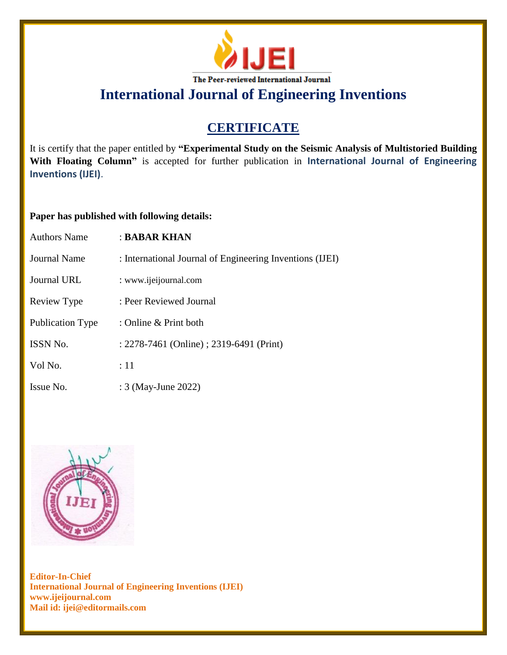

**International Journal of Engineering Inventions**

## **CERTIFICATE**

It is certify that the paper entitled by **"Experimental Study on the Seismic Analysis of Multistoried Building With Floating Column"** is accepted for further publication in **International Journal of Engineering Inventions (IJEI)**.

## **Paper has published with following details:**

| <b>Authors Name</b>     | : BABAR KHAN                                             |
|-------------------------|----------------------------------------------------------|
| Journal Name            | : International Journal of Engineering Inventions (IJEI) |
| <b>Journal URL</b>      | : www.ijeijournal.com                                    |
| Review Type             | : Peer Reviewed Journal                                  |
| <b>Publication Type</b> | : Online & Print both                                    |
| ISSN No.                | : 2278-7461 (Online) ; 2319-6491 (Print)                 |
| Vol No.                 | :11                                                      |
| Issue No.               | : 3 (May-June 2022)                                      |



**Editor-In-Chief International Journal of Engineering Inventions (IJEI) www.ijeijournal.com Mail id: ijei@editormails.com**